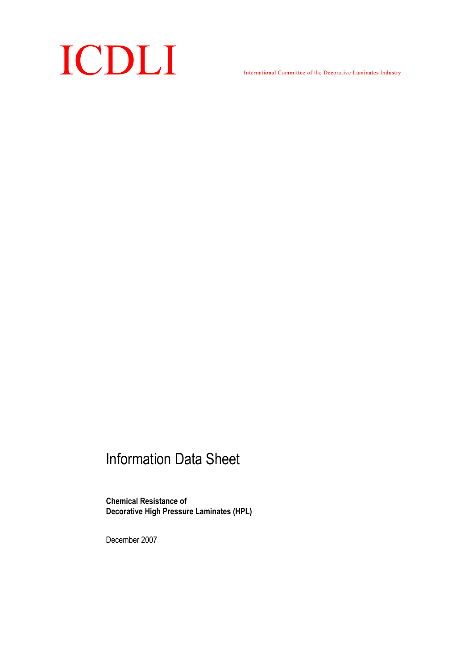# ICDLI

International Committee of the Decorative Laminates Industry

## Information Data Sheet

Chemical Resistance of Decorative High Pressure Laminates (HPL)

December 2007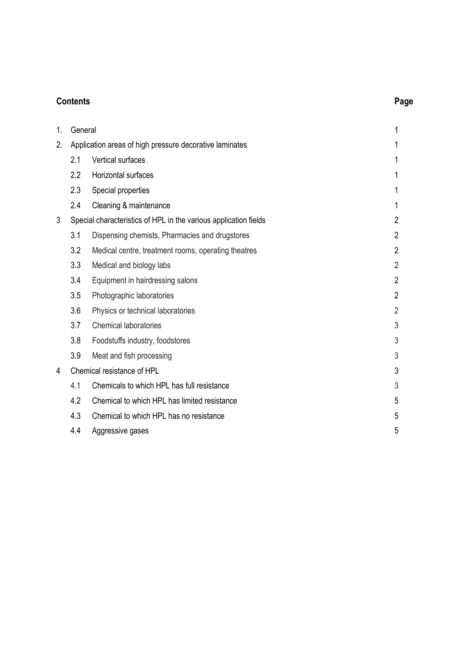### Contents Page

| 1. | General                                                          |                                                     | 1              |
|----|------------------------------------------------------------------|-----------------------------------------------------|----------------|
| 2. | Application areas of high pressure decorative laminates          |                                                     |                |
|    | 2.1                                                              | <b>Vertical surfaces</b>                            | 1              |
|    | 2.2                                                              | Horizontal surfaces                                 | 1              |
|    | 2.3                                                              | Special properties                                  | 1              |
|    | 2.4                                                              | Cleaning & maintenance                              | 1              |
| 3  | Special characteristics of HPL in the various application fields |                                                     | $\overline{2}$ |
|    | 3.1                                                              | Dispensing chemists, Pharmacies and drugstores      | $\overline{2}$ |
|    | 3.2                                                              | Medical centre, treatment rooms, operating theatres | $\overline{2}$ |
|    | 3.3                                                              | Medical and biology labs                            | $\overline{2}$ |
|    | 3.4                                                              | Equipment in hairdressing salons                    | $\overline{2}$ |
|    | 3.5                                                              | Photographic laboratories                           | $\overline{2}$ |
|    | 3.6                                                              | Physics or technical laboratories                   | $\overline{2}$ |
|    | 3.7                                                              | <b>Chemical laboratories</b>                        | 3              |
|    | 3.8                                                              | Foodstuffs industry, foodstores                     | 3              |
|    | 3.9                                                              | Meat and fish processing                            | 3              |
| 4  |                                                                  | Chemical resistance of HPL                          |                |
|    | 4.1                                                              | Chemicals to which HPL has full resistance          | 3              |
|    | 4.2                                                              | Chemical to which HPL has limited resistance        | 5              |
|    | 4.3                                                              | Chemical to which HPL has no resistance             | 5              |
|    | 4.4                                                              | Aggressive gases                                    | 5              |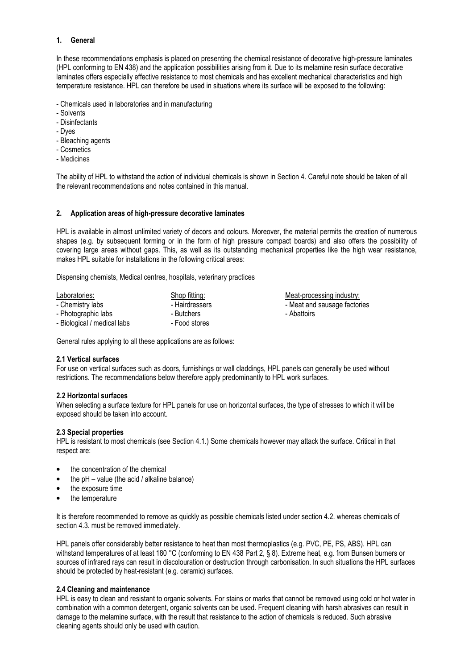#### 1. General

In these recommendations emphasis is placed on presenting the chemical resistance of decorative high-pressure laminates (HPL conforming to EN 438) and the application possibilities arising from it. Due to its melamine resin surface decorative laminates offers especially effective resistance to most chemicals and has excellent mechanical characteristics and high temperature resistance. HPL can therefore be used in situations where its surface will be exposed to the following:

- Chemicals used in laboratories and in manufacturing
- Solvents
- Disinfectants
- Dyes
- Bleaching agents
- Cosmetics
- Medicines

The ability of HPL to withstand the action of individual chemicals is shown in Section 4. Careful note should be taken of all the relevant recommendations and notes contained in this manual.

#### 2. Application areas of high-pressure decorative laminates

HPL is available in almost unlimited variety of decors and colours. Moreover, the material permits the creation of numerous shapes (e.g. by subsequent forming or in the form of high pressure compact boards) and also offers the possibility of covering large areas without gaps. This, as well as its outstanding mechanical properties like the high wear resistance, makes HPL suitable for installations in the following critical areas:

Dispensing chemists, Medical centres, hospitals, veterinary practices

| Laboratories:               | Shop fitting:  | Meat-proce  |  |
|-----------------------------|----------------|-------------|--|
| - Chemistry labs            | - Hairdressers | - Meat and  |  |
| - Photographic labs         | - Butchers     | - Abattoirs |  |
| - Biological / medical labs | - Food stores  |             |  |

Meat-processing industry: - Meat and sausage factories

General rules applying to all these applications are as follows:

#### 2.1 Vertical surfaces

For use on vertical surfaces such as doors, furnishings or wall claddings, HPL panels can generally be used without restrictions. The recommendations below therefore apply predominantly to HPL work surfaces.

#### 2.2 Horizontal surfaces

When selecting a surface texture for HPL panels for use on horizontal surfaces, the type of stresses to which it will be exposed should be taken into account.

#### 2.3 Special properties

HPL is resistant to most chemicals (see Section 4.1.) Some chemicals however may attack the surface. Critical in that respect are:

- the concentration of the chemical
- the  $pH value$  (the acid / alkaline balance)
- the exposure time
- the temperature

It is therefore recommended to remove as quickly as possible chemicals listed under section 4.2. whereas chemicals of section 4.3. must be removed immediately.

HPL panels offer considerably better resistance to heat than most thermoplastics (e.g. PVC, PE, PS, ABS). HPL can withstand temperatures of at least 180 °C (conforming to EN 438 Part 2, § 8). Extreme heat, e.g. from Bunsen burners or sources of infrared rays can result in discolouration or destruction through carbonisation. In such situations the HPL surfaces should be protected by heat-resistant (e.g. ceramic) surfaces.

#### 2.4 Cleaning and maintenance

HPL is easy to clean and resistant to organic solvents. For stains or marks that cannot be removed using cold or hot water in combination with a common detergent, organic solvents can be used. Frequent cleaning with harsh abrasives can result in damage to the melamine surface, with the result that resistance to the action of chemicals is reduced. Such abrasive cleaning agents should only be used with caution.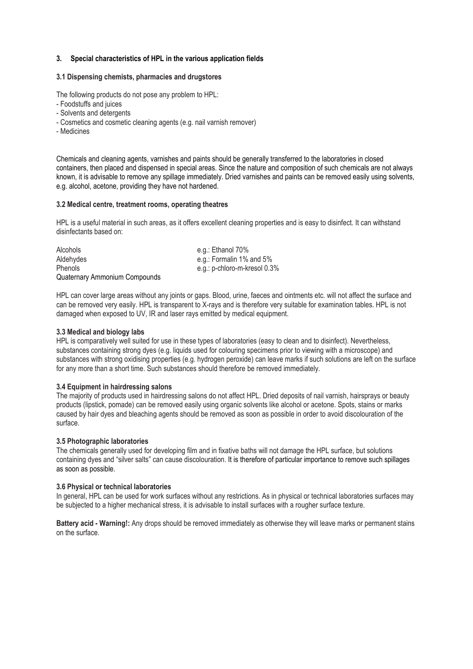#### 3. Special characteristics of HPL in the various application fields

#### 3.1 Dispensing chemists, pharmacies and drugstores

The following products do not pose any problem to HPL:

- Foodstuffs and juices
- Solvents and detergents
- Cosmetics and cosmetic cleaning agents (e.g. nail varnish remover)
- Medicines

Chemicals and cleaning agents, varnishes and paints should be generally transferred to the laboratories in closed containers, then placed and dispensed in special areas. Since the nature and composition of such chemicals are not always known, it is advisable to remove any spillage immediately. Dried varnishes and paints can be removed easily using solvents, e.g. alcohol, acetone, providing they have not hardened.

#### 3.2 Medical centre, treatment rooms, operating theatres

HPL is a useful material in such areas, as it offers excellent cleaning properties and is easy to disinfect. It can withstand disinfectants based on:

| Alcohols                      | e.g.: Ethanol 70%            |
|-------------------------------|------------------------------|
| Aldehydes                     | e.g.: Formalin 1% and 5%     |
| <b>Phenols</b>                | e.g.: p-chloro-m-kresol 0.3% |
| Quaternary Ammonium Compounds |                              |

HPL can cover large areas without any joints or gaps. Blood, urine, faeces and ointments etc. will not affect the surface and can be removed very easily. HPL is transparent to X-rays and is therefore very suitable for examination tables. HPL is not damaged when exposed to UV, IR and laser rays emitted by medical equipment.

#### 3.3 Medical and biology labs

HPL is comparatively well suited for use in these types of laboratories (easy to clean and to disinfect). Nevertheless, substances containing strong dyes (e.g. liquids used for colouring specimens prior to viewing with a microscope) and substances with strong oxidising properties (e.g. hydrogen peroxide) can leave marks if such solutions are left on the surface for any more than a short time. Such substances should therefore be removed immediately.

#### 3.4 Equipment in hairdressing salons

The majority of products used in hairdressing salons do not affect HPL. Dried deposits of nail varnish, hairsprays or beauty products (lipstick, pomade) can be removed easily using organic solvents like alcohol or acetone. Spots, stains or marks caused by hair dyes and bleaching agents should be removed as soon as possible in order to avoid discolouration of the surface.

#### 3.5 Photographic laboratories

The chemicals generally used for developing film and in fixative baths will not damage the HPL surface, but solutions containing dyes and "silver salts" can cause discolouration. It is therefore of particular importance to remove such spillages as soon as possible.

#### 3.6 Physical or technical laboratories

In general, HPL can be used for work surfaces without any restrictions. As in physical or technical laboratories surfaces may be subjected to a higher mechanical stress, it is advisable to install surfaces with a rougher surface texture.

Battery acid - Warning!: Any drops should be removed immediately as otherwise they will leave marks or permanent stains on the surface.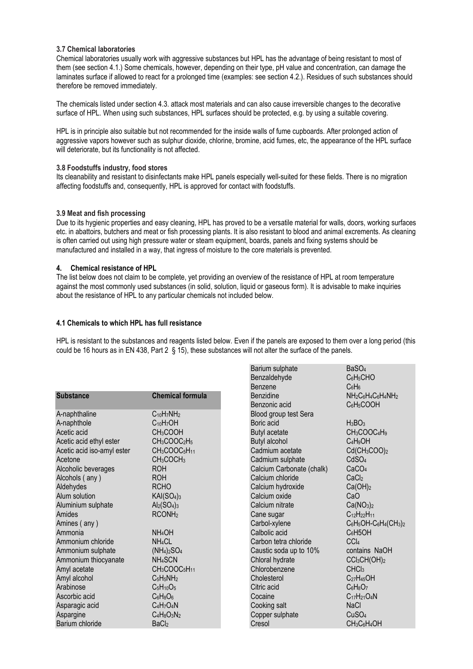#### 3.7 Chemical laboratories

Chemical laboratories usually work with aggressive substances but HPL has the advantage of being resistant to most of them (see section 4.1.) Some chemicals, however, depending on their type, pH value and concentration, can damage the laminates surface if allowed to react for a prolonged time (examples: see section 4.2.). Residues of such substances should therefore be removed immediately.

The chemicals listed under section 4.3. attack most materials and can also cause irreversible changes to the decorative surface of HPL. When using such substances, HPL surfaces should be protected, e.g. by using a suitable covering.

HPL is in principle also suitable but not recommended for the inside walls of fume cupboards. After prolonged action of aggressive vapors however such as sulphur dioxide, chlorine, bromine, acid fumes, etc, the appearance of the HPL surface will deteriorate, but its functionality is not affected.

#### 3.8 Foodstuffs industry, food stores

Its cleanability and resistant to disinfectants make HPL panels especially well-suited for these fields. There is no migration affecting foodstuffs and, consequently, HPL is approved for contact with foodstuffs.

#### 3.9 Meat and fish processing

Due to its hygienic properties and easy cleaning, HPL has proved to be a versatile material for walls, doors, working surfaces etc. in abattoirs, butchers and meat or fish processing plants. It is also resistant to blood and animal excrements. As cleaning is often carried out using high pressure water or steam equipment, boards, panels and fixing systems should be manufactured and installed in a way, that ingress of moisture to the core materials is prevented.

#### 4. Chemical resistance of HPL

The list below does not claim to be complete, yet providing an overview of the resistance of HPL at room temperature against the most commonly used substances (in solid, solution, liquid or gaseous form). It is advisable to make inquiries about the resistance of HPL to any particular chemicals not included below.

#### 4.1 Chemicals to which HPL has full resistance

HPL is resistant to the substances and reagents listed below. Even if the panels are exposed to them over a long period (this could be 16 hours as in EN 438, Part 2 § 15), these substances will not alter the surface of the panels.

|                            |                                                   | Barium sulphate           | BaSO <sub>4</sub>                                                                           |
|----------------------------|---------------------------------------------------|---------------------------|---------------------------------------------------------------------------------------------|
|                            |                                                   | Benzaldehyde              | $C_6H_5CHO$                                                                                 |
|                            |                                                   | Benzene                   | $C_6H_6$                                                                                    |
| <b>Substance</b>           | <b>Chemical formula</b>                           | <b>Benzidine</b>          | NH <sub>2</sub> C <sub>6</sub> H <sub>4</sub> C <sub>6</sub> H <sub>4</sub> NH <sub>2</sub> |
|                            |                                                   | Benzonic acid             | $C_6H_5COOH$                                                                                |
| A-naphthaline              | $C_{10}H_7NH_2$                                   | Blood group test Sera     |                                                                                             |
| A-naphthole                | $C_{10}H7OH$                                      | Boric acid                | $H_3BO_3$                                                                                   |
| Acetic acid                | CH <sub>3</sub> COOH                              | <b>Butyl acetate</b>      | $CH3COOC4H9$                                                                                |
| Acetic acid ethyl ester    | CH <sub>3</sub> COOC <sub>2</sub> H <sub>5</sub>  | Butyl alcohol             | $C_4H_9OH$                                                                                  |
| Acetic acid iso-amyl ester | $CH3COOC5H11$                                     | Cadmium acetate           | $Cd(CH_3COO)_2$                                                                             |
| Acetone                    | CH <sub>3</sub> COCH <sub>3</sub>                 | Cadmium sulphate          | CdSO <sub>4</sub>                                                                           |
| Alcoholic beverages        | <b>ROH</b>                                        | Calcium Carbonate (chalk) | CaCO <sub>4</sub>                                                                           |
| Alcohols (any)             | <b>ROH</b>                                        | Calcium chloride          | CaCl <sub>2</sub>                                                                           |
| Aldehydes                  | <b>RCHO</b>                                       | Calcium hydroxide         | Ca(OH) <sub>2</sub>                                                                         |
| Alum solution              | KAI(SO <sub>4</sub> ) <sub>3</sub>                | Calcium oxide             | CaO                                                                                         |
| Aluminium sulphate         | $Al2(SO4)3$                                       | Calcium nitrate           | Ca(NO <sub>3</sub> ) <sub>2</sub>                                                           |
| Amides                     | RCONH <sub>2</sub>                                | Cane sugar                | $C_{12}H_{22}H_{11}$                                                                        |
| Amines (any)               |                                                   | Carbol-xylene             | $C_6H_5OH-C_6H_4(CH_3)_2$                                                                   |
| Ammonia                    | NH <sub>4</sub> OH                                | Calbolic acid             | C <sub>6</sub> H5OH                                                                         |
| Ammonium chloride          | NH <sub>4</sub> CL                                | Carbon tetra chloride     | CCI <sub>4</sub>                                                                            |
| Ammonium sulphate          | $(NH_4)_2SO_4$                                    | Caustic soda up to 10%    | contains NaOH                                                                               |
| Ammonium thiocyanate       | NH <sub>4</sub> SCN                               | Chloral hydrate           | CCl <sub>3</sub> CH(OH) <sub>2</sub>                                                        |
| Amyl acetate               | CH <sub>3</sub> COOC <sub>5</sub> H <sub>11</sub> | Chlorobenzene             | CHC <sub>3</sub>                                                                            |
| Amyl alcohol               | $C_5H_5NH_2$                                      | Cholesterol               | $C_{27}H_{45}OH$                                                                            |
| Arabinose                  | $C5H10O5$                                         | Citric acid               | $C_6H_8O_7$                                                                                 |
| Ascorbic acid              | $C_6H_8O_6$                                       | Cocaine                   | $C_{17}H_{21}O_4N$                                                                          |
| Asparagic acid             | $C_4H_7O_4N$                                      | Cooking salt              | <b>NaCl</b>                                                                                 |
| Aspargine                  | $C_4H_8O_3N_2$                                    | Copper sulphate           | CuSO <sub>4</sub>                                                                           |
| Barium chloride            | BaCl <sub>2</sub>                                 | Cresol                    | CH <sub>3</sub> C <sub>6</sub> H <sub>4</sub> OH                                            |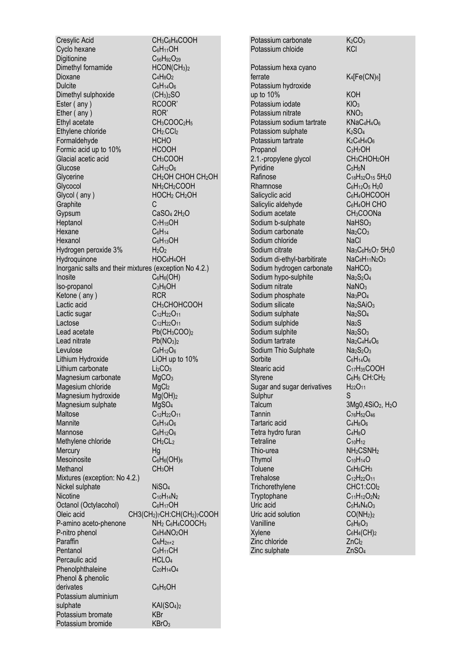Cresylic Acid<br>
CH<sub>3</sub>C<sub>6</sub>H<sub>4</sub>COOH<br>
C<sub>6H11</sub>OH Cyclo hexane Digitionine C<sub>56</sub>H<sub>92</sub>O<sub>29</sub><br>Dimethyl fornamide HCON(CH<sub>3</sub>)<sub>2</sub> Dimethyl fornamide Dioxane C<sub>4</sub>H<sub>8</sub>O<sub>2</sub> Dulcite C<sub>6</sub>H<sub>14</sub>O<sub>6</sub> Dimethyl sulphoxide (CH<sub>3</sub>)<sub>2</sub>SO Ester ( any ) RCOOR' Ether (any ) ROR' Ethyl acetate CH<sub>3</sub>COOC<sub>2</sub>H<sub>5</sub> Ethylene chloride CH<sub>2</sub>:CCl<sub>2</sub> Formaldehyde HCHO Formic acid up to 10% HCOOH Glacial acetic acid CH3COOH Glucose C6H<sub>12</sub>O<sub>6</sub> Glycerine CH<sub>2</sub>OH CHOH CH<sub>2</sub>OH Glycocol<br>Glycol (any ) The HOCH<sub>2</sub> CH<sub>2</sub>OH HOCH<sub>2</sub> CH<sub>2</sub>OH Graphite Gypsum CaSO<sub>4</sub> 2H<sub>2</sub>O Heptanol C<sub>7</sub>H<sub>15</sub>OH Hexane C<sub>6</sub>H<sub>14</sub> Hexanol C6H13OH<br>Hydrogen peroxide 3% H<sub>2</sub>O<sub>2</sub> Hydrogen peroxide 3% H<sub>2</sub>O<sub>2</sub><br>Hydroguinone HOC<sub>6</sub>H4OH Hydroquinone Inorganic salts and their mixtures (exception No 4.2.) Inosite C<sub>6</sub>H<sub>6</sub>(OH)<br>Iso-propanol C<sub>3</sub>H<sub>6</sub>OH Iso-propanol Ketone (any ) RCR Lactic acid CH<sub>3</sub>CHOHCOOH Lactic sugar  $C_{12}H_{22}O_{11}$ Lactose C<sub>12</sub>H<sub>22</sub>O<sub>11</sub> Lead acetate Pb(CH<sub>3</sub>COO)<sub>2</sub> Lead nitrate  $Pb(NO<sub>3</sub>)<sub>2</sub>$ Levulose C<sub>6</sub>H<sub>12</sub>O<sub>6</sub> Lithium Hydroxide LiOH up to 10% Lithium carbonate Li<sub>2</sub>CO<sub>3</sub><br>Magnesium carbonate MgCO<sub>3</sub> Magnesium carbonate MgCO<br>Magesium chloride MgCl<sub>2</sub> Magesium chloride Magnesium hydroxide Mg(OH)<sub>2</sub> Magnesium sulphate  $MgSO<sub>4</sub>$ <br>Maltose  $C<sub>12</sub>H<sub>22</sub>C$ C<sub>12</sub>H<sub>22</sub>O<sub>11</sub> Mannite C6H<sub>14</sub>O<sub>6</sub> Mannose C6H<sub>12</sub>O<sub>6</sub> Methylene chloride CH<sub>2</sub>CL<sub>2</sub> Mercury<br>
Mesoinosite C6H6(OH)6 Mesoinosite C<sub>6</sub>H<sub>6</sub>(OI<br>Methanol CH<sub>3</sub>OH Methanol Mixtures (exception: No 4.2.) Nickel sulphate NiSO<sub>4</sub> Nicotine C<sub>10</sub>H<sub>14</sub>N<sub>2</sub> Octanol (Octylacohol) C6H<sub>17</sub>OH Oleic acid CH3(CH<sub>2</sub>)7CH:CH(CH<sub>2</sub>)7COOH P-amino aceto-phenone NH<sub>2</sub> C<sub>6</sub>H<sub>4</sub>COOCH<sub>3</sub> P-nitro phenol C6H<sub>4</sub>NO<sub>2</sub>OH Paraffin  $C_NH_{2n+2}$ Pentanol C<sub>5</sub>H<sub>11</sub>CH<br>Percaulic acid HCl O4 Percaulic acid Phenolphthaleine C<sub>20</sub>H<sub>14</sub>O<sub>4</sub> Phenol & phenolic derivates C6H5OH Potassium aluminium sulphate KAI(SO<sub>4)2</sub> Potassium bromate KBr Potassium bromide KBrO<sub>3</sub>

Potassium carbonate  $K_2CO_3$ <br>Potassium chloide  $KCl$ Potassium chloide Potassium hexa cyano ferrate K4[Fe(CN)<sub>6</sub>] Potassium hydroxide up to 10% KOH Potassium iodate KIO<sub>3</sub> Potassium nitrate KNO<sub>3</sub> Potassium sodium tartrate KNaC<sub>4</sub>H<sub>4</sub>O<sub>6</sub> Potassiom sulphate  $K_2SO_4$ Potassium tartrate K<sub>2</sub>C<sub>4</sub>H<sub>4</sub>O<sub>6</sub> Propanol C3H7OH 2.1.-propylene glycol CH3CHOH2OH Pyridine C<sub>5</sub>H<sub>5</sub>N Rafinose  $C_{18}H_{32}O_{15}$  5H<sub>2</sub>0 Rhamnose C6H<sub>12</sub>O<sub>5</sub> H<sub>2</sub>O<br>Salicyclic acid C6H<sub>4</sub>OHCOOH Salicyclic acid<br>
Salicylic aldehyde<br>
C<sub>6</sub>H<sub>4</sub>OH CHO Salicylic aldehyde Sodium acetate CH<sub>3</sub>COONa Sodium b-sulphate NaHSO<sub>3</sub> Sodium carbonate Na<sub>2</sub>CO<sub>3</sub> Sodium chloride NaCl Sodium citrate **Na<sub>3</sub>C<sub>6</sub>H<sub>5</sub>O<sub>7</sub> 5H<sub>2</sub>O**<br>Sodium di-ethyl-barbitirate NaC<sub>8</sub>H<sub>11</sub>N<sub>2</sub>O<sub>3</sub> Sodium di-ethyl-barbitirate Sodium hydrogen carbonate NaHCO<sub>3</sub> Sodium hypo-sulphite Ma<sub>2</sub>S<sub>2</sub>O<sub>4</sub><br>Sodium nitrate MaNO<sub>3</sub> Sodium nitrate  $NaNO_3$ <br>Sodium phosphate  $Na_3PO_4$ Sodium phosphate Sodium silicate Na<sub>2</sub>SAiO<sub>3</sub> Sodium sulphate Na<sub>2</sub>SO<sub>4</sub> Sodium sulphide Na<sub>2</sub>S Sodium sulphite<br>Sodium tartrate Na<sub>2</sub>C<sub>4</sub>H<sub>4</sub>O<sub>6</sub> Sodium tartrate Sodium Thio Sulphate Na<sub>2</sub>S<sub>2</sub>O<sub>3</sub> Sorbite C<sub>6</sub>H<sub>14</sub>O<sub>6</sub> Stearic acid<br>Styrene C<sub>17</sub>H<sub>35</sub>COOH<br>C<sub>6</sub>H<sub>5</sub> CH:CH<sub>2</sub> Sugar and sugar derivatives Sulphur Sulphur S<br>Talcum 31 Tannin  $C_{76}H_{52}O_{46}$ <br>Tartaric acid  $C_4H_8O_6$ Tartaric acid<br>Tetra hydro furan C4H8O6 Tetra hydro furan Tetraline C<sub>10</sub>H<sub>12</sub> Thio-urea NH<sub>2</sub>CSNH<sub>2</sub> Thymol C<sub>10</sub>H<sub>14</sub>O<br>Toluene C<sub>6</sub>H<sub>5</sub>CH<sub>3</sub> Trehalose C<sub>12</sub>H<sub>22</sub>O<sub>11</sub> Trichorethylene CHC1:COl<sub>2</sub> Tryptophane C<sub>11</sub>H<sub>12</sub>O<sub>2</sub>N<sub>2</sub> Uric acid C<sub>5</sub>H<sub>4</sub>N<sub>4</sub>O<sub>3</sub> Uric acid solution  $CO(NH_2)_2$ Vanilline C<sub>8</sub>H<sub>8</sub>O<sub>3</sub>  $X$ ylene  $C_6H_4(CH)_2$ Zinc chloride ZnCl<sub>2</sub> Zinc sulphate ZnSO<sub>4</sub>

 $C_6H_5$  CH:CH<sub>2</sub><br>H<sub>22</sub>O<sub>11</sub>  $3Mq0,4SiO<sub>2</sub>, H<sub>2</sub>O$ C<sub>6</sub>H<sub>5</sub>CH<sub>3</sub>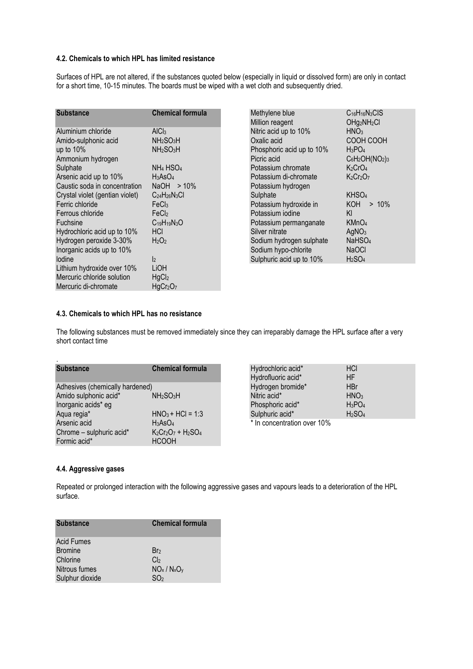#### 4.2. Chemicals to which HPL has limited resistance

Surfaces of HPL are not altered, if the substances quoted below (especially in liquid or dissolved form) are only in contact for a short time, 10-15 minutes. The boards must be wiped with a wet cloth and subsequently dried.

| <b>Substance</b>                | <b>Chemical formula</b>           |
|---------------------------------|-----------------------------------|
| Aluminium chloride              | AICI <sub>3</sub>                 |
| Amido-sulphonic acid            | NH2SO3H                           |
| up to 10%                       | NH <sub>2</sub> SO <sub>3</sub> H |
| Ammonium hydrogen               |                                   |
| Sulphate                        | NH <sub>4</sub> HSO <sub>4</sub>  |
| Arsenic acid up to 10%          | H3AsO4                            |
| Caustic soda in concentration   | $NaOH > 10\%$                     |
| Crystal violet (gentian violet) | $C24H26N3Cl$                      |
| Ferric chloride                 | FeCl <sub>3</sub>                 |
| Ferrous chloride                | FeCl                              |
| Fuchsine                        | $C_{19}H_{19}N_3O$                |
| Hydrochloric acid up to 10%     | HCI                               |
| Hydrogen peroxide 3-30%         | H2O2                              |
| Inorganic acids up to 10%       |                                   |
| lodine                          | $\mathsf{r}$                      |
| Lithium hydroxide over 10%      | LiOH                              |
| Mercuric chloride solution      | HgCl <sub>2</sub>                 |
| Mercuric di-chromate            | HgCr <sub>2</sub> O <sub>7</sub>  |

| Methylene blue            | $C_{16}H_{16}N_3CIS$                |
|---------------------------|-------------------------------------|
| Million reagent           | OHg <sub>2</sub> NH <sub>2</sub> CI |
| Nitric acid up to 10%     | HNO <sub>3</sub>                    |
| Oxalic acid               | COOH COOH                           |
| Phosphoric acid up to 10% | $H_3PO_4$                           |
| Picric acid               | $C_6H_2OH(NO_2)_3$                  |
| Potassium chromate        | K <sub>2</sub> CrO <sub>4</sub>     |
| Potassium di-chromate     | $K_2Cr_2O_7$                        |
| Potassium hydrogen        |                                     |
| Sulphate                  | KHSO <sub>4</sub>                   |
| Potassium hydroxide in    | $KOH > 10\%$                        |
| Potassium iodine          | KI                                  |
| Potassium permanganate    | KMnO <sub>4</sub>                   |
| Silver nitrate            | AgNO <sub>3</sub>                   |
| Sodium hydrogen sulphate  | NaHSO <sub>4</sub>                  |
| Sodium hypo-chlorite      | <b>NaOCI</b>                        |
| Sulphuric acid up to 10%  | H <sub>2</sub> SO <sub>4</sub>      |

#### 4.3. Chemicals to which HPL has no resistance

The following substances must be removed immediately since they can irreparably damage the HPL surface after a very short contact time

| <b>Substance</b>                | <b>Chemical formula</b>           |
|---------------------------------|-----------------------------------|
| Adhesives (chemically hardened) |                                   |
| Amido sulphonic acid*           | NH <sub>2</sub> SO <sub>3</sub> H |
| Inorganic acids* eg             |                                   |
| Aqua regia*                     | $HNO3 + HCl = 1:3$                |
| Arsenic acid                    | $H_3AsO4$                         |
| Chrome - sulphuric acid*        | $K_2Cr_2O_7 + H_2SO_4$            |
| Formic acid*                    | <b>HCOOH</b>                      |

| Hydrochloric acid*          | <b>HCI</b>                     |  |
|-----------------------------|--------------------------------|--|
| Hydrofluoric acid*          | <b>HF</b>                      |  |
| Hydrogen bromide*           | <b>HBr</b>                     |  |
| Nitric acid*                | HNO <sub>3</sub>               |  |
| Phosphoric acid*            | $H_3PO_4$                      |  |
| Sulphuric acid*             | H <sub>2</sub> SO <sub>4</sub> |  |
| * In concentration over 10% |                                |  |

#### 4.4. Aggressive gases

Repeated or prolonged interaction with the following aggressive gases and vapours leads to a deterioration of the HPL surface.

| <b>Substance</b>  | <b>Chemical formula</b> |
|-------------------|-------------------------|
| <b>Acid Fumes</b> |                         |
| <b>Bromine</b>    | Br <sub>2</sub>         |
| Chlorine          | Cl <sub>2</sub>         |
| Nitrous fumes     | $NO_x / N_xO_y$         |
| Sulphur dioxide   | SO <sub>2</sub>         |